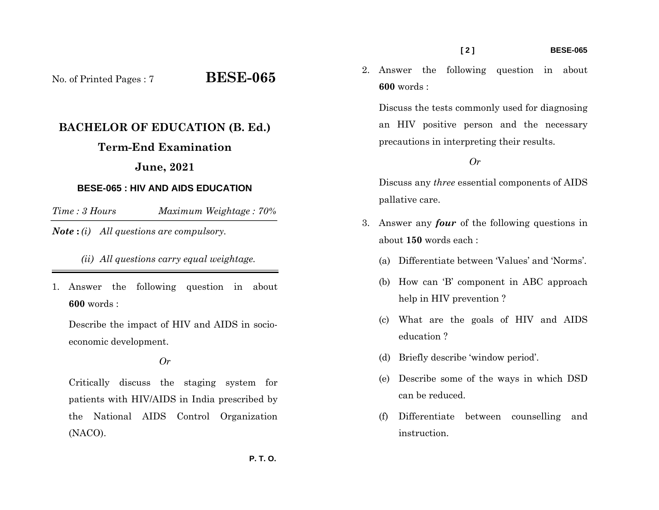No. of Printed Pages : 7 **BESE-065**

# **BACHELOR OF EDUCATION (B. Ed.)**

## **Term-End Examination**

## **June, 2021**

#### **BESE-065 : HIV AND AIDS EDUCATION**

*Time : 3 HoursMaximum Weightage : 70%* 

*Note* **:** *(i) All questions are compulsory.* 

 *(ii) All questions carry equal weightage.*

1. Answer the following question in about **600** words :

Describe the impact of HIV and AIDS in socioeconomic development.

*Or* 

Critically discuss the staging system for patients with HIV/AIDS in India prescribed by the National AIDS Control Organization (NACO).

2. Answer the following question in about **600** words :

Discuss the tests commonly used for diagnosing an HIV positive person and the necessary precautions in interpreting their results.

#### *Or*

Discuss any *three* essential components of AIDS pallative care.

- 3. Answer any *four* of the following questions in about **150** words each :
	- (a) Differentiate between 'Values' and 'Norms'.
	- (b) How can 'B' component in ABC approach help in HIV prevention ?
	- (c) What are the goals of HIV and AIDS education ?
	- (d) Briefly describe 'window period'.
	- (e) Describe some of the ways in which DSD can be reduced.
	- (f) Differentiate between counselling and instruction.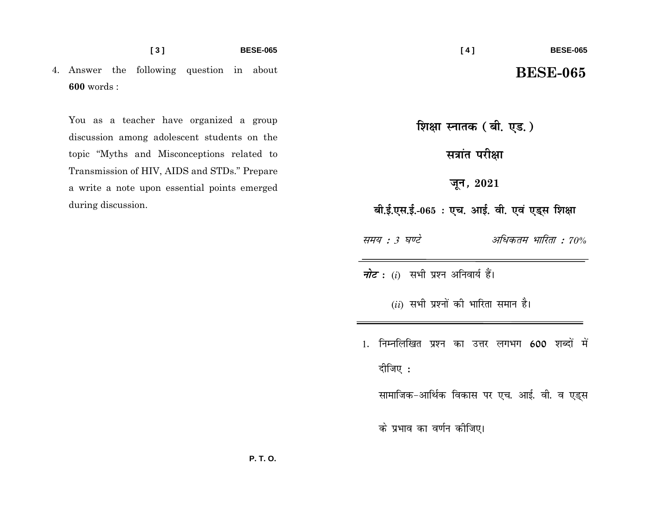4. Answer the following question in about **600** words :

You as a teacher have organized a group discussion among adolescent students on the topic "Myths and Misconceptions related to Transmission of HIV, AIDS and STDs." Prepare a write a note upon essential points emerged during discussion.

**शिक्षा स्नातक ( बी. एड.)** 

**Haid** परीक्षा

**twu] 2021**

 $\overline{a}$ , ई.एस.ई.-065 : एच. आई. वी. एवं एड्स शिक्षा

<u>समय : 3 घण्टे अधिकतम भारिता : 70%</u>

*नोट* : (i) सभी प्रश्न अनिवार्य हैं।

 $(ii)$  सभी प्रश्नों की भारिता समान है।

1. निम्नलिखित प्रश्न का उत्तर लगभग 600 शब्दों में दीजिए $:$ 

सामाजिक-आर्थिक विकास पर एच. आई. वी. व एड्स

के प्रभाव का वर्णन कीजिए।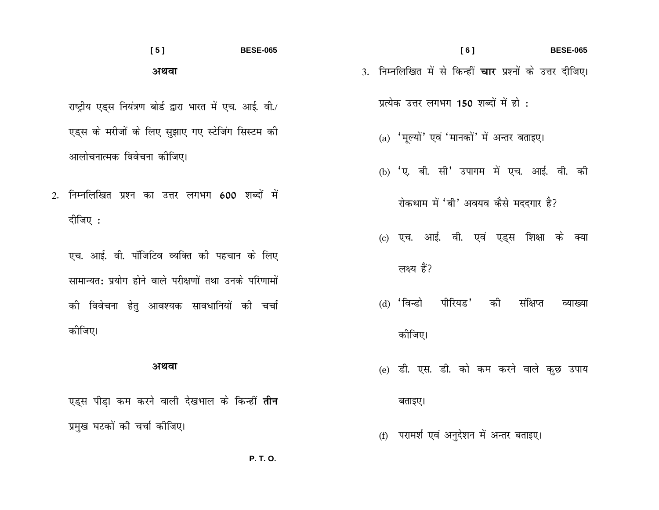## $[5]$ **BESE-065** अथवा

राष्ट्रीय एड्स नियंत्रण बोर्ड द्वारा भारत में एच. आई. वी./ एड्स के मरीजों के लिए सुझाए गए स्टेजिंग सिस्टम की आलोचनात्मक विवेचना कोजिए।

2. निम्नलिखित प्रश्न का उत्तर लगभग 600 शब्दों में दीजिए :

एच. आई. वी. पॉंजिटिव व्यक्ति की पहचान के लिए सामान्यत: प्रयोग होने वाले परीक्षणों तथा उनके परिणामों की विवेचना हेतु आवश्यक सावधानियों की चर्चा कोजिए।

#### अथवा

एड्स पीडा कम करने वाली देखभाल के किन्हीं **तीन** प्रमुख घटकों की चर्चा कीजिए।

- $[6]$ **BESE-065** 3. निम्नलिखित में से किन्हीं **चार** प्रश्नों के उत्तर दीजिए। प्रत्येक उत्तर लगभग 150 शब्दों में हो :
	- (a) 'मूल्यों' एवं 'मानकों' में अन्तर बताइए।
	- (b) 'ए. बी. सी' उपागम में एच. आई. वी. की
		- रोकथाम में 'बी' अवयव कैसे मददगार है?
	- (c) एच. आई. वी. एवं एड्स शिक्षा के क्या
		- लक्ष्य हैं?
	- पीरियड' (d) 'विन्डो की संक्षिप्त व्याख्या कोजिए।
	- (e) डी. एस. डी. को कम करने वाले कुछ उपाय

#### बताइए।

(f) परामर्श एवं अनुदेशन में अन्तर बताइए।